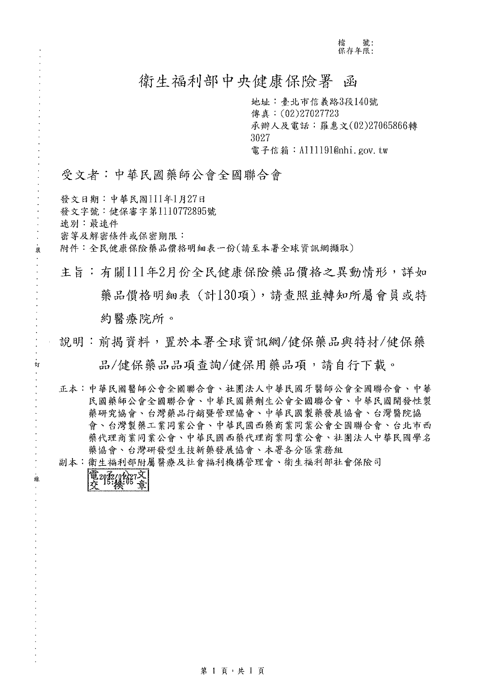檔 號:<br>保存年限:

# 衛生福利部中央健康保險署 函

地址:臺北市信義路3段140號 傳真: (02)27027723 承辦人及電話:羅惠文(02)27065866轉 3027 電子信箱: A111191@nhi.gov.tw

#### 受文者:中華民國藥師公會全國聯合會

發文日期:中華民國111年1月27日 發文字號:健保審字第1110772895號 速別:最速件 密等及解密條件或保密期限: 附件:全民健康保險藥品價格明細表一份(請至本署全球資訊網擷取)

主旨:有關111年2月份全民健康保險藥品價格之異動情形,詳如 藥品價格明細表 (計130項),請查照並轉知所屬會員或特 約醫療院所。

- 說明:前揭資料,置於本署全球資訊網/健保藥品與特材/健保藥 品/健保藥品品項查詢/健保用藥品項,請自行下載。
- 正本:中華民國醫師公會全國聯合會、社團法人中華民國牙醫師公會全國聯合會、中華 民國藥師公會全國聯合會、中華民國藥劑生公會全國聯合會、中華民國開發性製 藥研究協會、台灣藥品行銷暨管理協會、中華民國製藥發展協會、台灣醫院協 會、台灣製藥工業同業公會、中華民國西藥商業同業公會全國聯合會、台北市西 藥代理商業同業公會、中華民國西藥代理商業同業公會、社團法人中華民國學名 藥協會、台灣研發型生技新藥發展協會、本署各分區業務組

副本:衛生福利部附屬醫療及社會福利機構管理會、衛生福利部社會保險司

電2022/02/27文

英

訂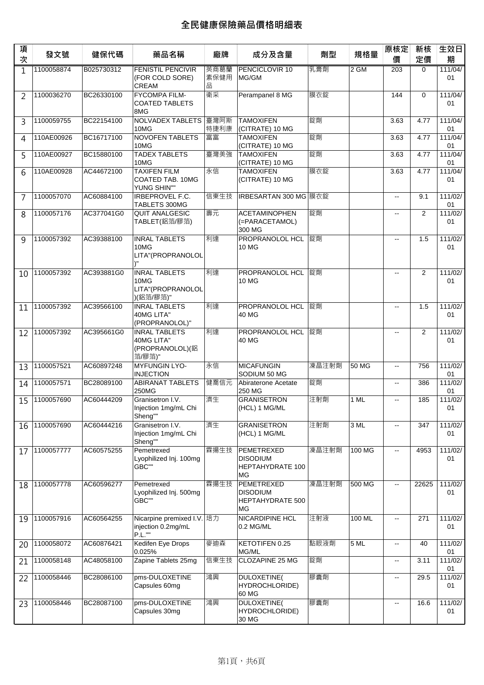| 項<br>次 | 發文號        | 健保代碼       | 藥品名稱                                                            | 廠牌                | 成分及含量                                                   | 劑型    | 規格量    | 原核定<br>價                                      | 新核<br>定價 | 生效日<br>期      |
|--------|------------|------------|-----------------------------------------------------------------|-------------------|---------------------------------------------------------|-------|--------|-----------------------------------------------|----------|---------------|
| 1      | 1100058874 | B025730312 | <b>FENISTIL PENCIVIR</b><br>(FOR COLD SORE)<br><b>CREAM</b>     | 英商葛蘭<br>素保健用<br>品 | <b>PENCICLOVIR 10</b><br>MG/GM                          | 乳膏劑   | 2 GM   | 203                                           | 0        | 111/04/<br>01 |
| 2      | 1100036270 | BC26330100 | <b>FYCOMPA FILM-</b><br><b>COATED TABLETS</b><br>8MG            | 衛采                | Perampanel 8 MG                                         | 膜衣錠   |        | 144                                           | $\Omega$ | 111/04/<br>01 |
| 3      | 1100059755 | BC22154100 | NOLVADEX TABLETS 臺灣阿斯<br>10MG                                   | 特捷利康              | <b>TAMOXIFEN</b><br>(CITRATE) 10 MG                     | 錠劑    |        | 3.63                                          | 4.77     | 111/04/<br>01 |
| 4      | 110AE00926 | BC16717100 | <b>NOVOFEN TABLETS</b><br>10MG                                  | 富富                | <b>TAMOXIFEN</b><br>(CITRATE) 10 MG                     | 錠劑    |        | 3.63                                          | 4.77     | 111/04/<br>01 |
| 5      | 110AE00927 | BC15880100 | <b>TADEX TABLETS</b><br>10MG                                    | 臺灣美強              | <b>TAMOXIFEN</b><br>(CITRATE) 10 MG                     | 錠劑    |        | 3.63                                          | 4.77     | 111/04/<br>01 |
| 6      | 110AE00928 | AC44672100 | <b>TAXIFEN FILM</b><br>COATED TAB. 10MG<br>YUNG SHIN""          | 永信                | <b>TAMOXIFEN</b><br>(CITRATE) 10 MG                     | 膜衣錠   |        | 3.63                                          | 4.77     | 111/04/<br>01 |
| 7      | 1100057070 | AC60884100 | IRBEPROVEL F.C.<br>TABLETS 300MG                                | 信東生技              | IRBESARTAN 300 MG 膜衣錠                                   |       |        | $\overline{\phantom{a}}$                      | 9.1      | 111/02/<br>01 |
| 8      | 1100057176 | AC377041G0 | <b>QUIT ANALGESIC</b><br>TABLET(鋁箔/膠箔)                          | 壽元                | <b>ACETAMINOPHEN</b><br>(=PARACETAMOL)<br>300 MG        | 錠劑    |        | $\overline{a}$                                | 2        | 111/02/<br>01 |
| q      | 1100057392 | AC39388100 | <b>INRAL TABLETS</b><br>10MG<br>LITA"(PROPRANOLOL               | 利達                | PROPRANOLOL HCL<br>10 MG                                | 錠劑    |        | $\sim$                                        | 1.5      | 111/02/<br>01 |
| 10     | 1100057392 | AC393881G0 | <b>INRAL TABLETS</b><br>10MG<br>LITA"(PROPRANOLOL<br>)(鋁箔/膠箔)"  | 利達                | PROPRANOLOL HCL<br>10 MG                                | 錠劑    |        | $\overline{\phantom{a}}$                      | 2        | 111/02/<br>01 |
| 11     | 1100057392 | AC39566100 | <b>INRAL TABLETS</b><br>40MG LITA"<br>(PROPRANOLOL)"            | 利達                | <b>PROPRANOLOL HCL</b> 錠劑<br>40 MG                      |       |        | $\sim$                                        | 1.5      | 111/02/<br>01 |
| 12     | 1100057392 | AC395661G0 | <b>INRAL TABLETS</b><br>40MG LITA"<br>(PROPRANOLOL)(鋁<br>箔/膠箔)" | 利達                | PROPRANOLOL HCL<br>40 MG                                | 錠劑    |        | $\overline{\phantom{a}}$                      | 2        | 111/02/<br>01 |
| 13     | 1100057521 | AC60897248 | <b>MYFUNGIN LYO-</b><br><b>INJECTION</b>                        | 永信                | <b>MICAFUNGIN</b><br>SODIUM 50 MG                       | 凍晶注射劑 | 50 MG  | $\overline{\phantom{a}}$                      | 756      | 111/02/<br>01 |
| 14     | 1100057571 | BC28089100 | <b>ABIRANAT TABLETS</b><br><b>250MG</b>                         | 健喬信元              | Abiraterone Acetate<br>250 MG                           | 錠劑    |        | $\sim$                                        | 386      | 111/02/<br>01 |
| 15     | 1100057690 | AC60444209 | Granisetron I.V.<br>Injection 1mg/mL Chi<br>Sheng""             | 濟生                | <b>GRANISETRON</b><br>(HCL) 1 MG/ML                     | 注射劑   | 1 ML   | н.                                            | 185      | 111/02/<br>01 |
| 16     | 1100057690 | AC60444216 | Granisetron I.V.<br>Injection 1mg/mL Chi<br>Sheng""             | 濟生                | <b>GRANISETRON</b><br>(HCL) 1 MG/ML                     | 注射劑   | 3 ML   | $\overline{\phantom{a}}$                      | 347      | 111/02/<br>01 |
| 17     | 1100057777 | AC60575255 | Pemetrexed<br>Lyophilized Inj. 100mg<br>GBC""                   | 霖揚生技              | PEMETREXED<br><b>DISODIUM</b><br>HEPTAHYDRATE 100<br>MG | 凍晶注射劑 | 100 MG | $\mathbf{u}$                                  | 4953     | 111/02/<br>01 |
| 18     | 1100057778 | AC60596277 | Pemetrexed<br>Lyophilized Inj. 500mg<br>GBC""                   | 霖揚生技              | PEMETREXED<br><b>DISODIUM</b><br>HEPTAHYDRATE 500<br>MG | 凍晶注射劑 | 500 MG | $\overline{\phantom{a}}$                      | 22625    | 111/02/<br>01 |
| 19     | 1100057916 | AC60564255 | Nicarpine premixed I.V. 培力<br>injection 0.2mg/mL<br>P.L.""      |                   | <b>NICARDIPINE HCL</b><br>0.2 MG/ML                     | 注射液   | 100 ML | $\overline{\phantom{a}}$                      | 271      | 111/02/<br>01 |
| 20     | 1100058072 | AC60876421 | Kedifen Eye Drops<br>0.025%                                     | 麥迪森               | KETOTIFEN 0.25<br>MG/ML                                 | 點眼液劑  | 5 ML   | $\mathcal{L}_{\mathcal{F}}$                   | 40       | 111/02/<br>01 |
| 21     | 1100058148 | AC48058100 | Zapine Tablets 25mg                                             | 信東生技              | <b>CLOZAPINE 25 MG</b>                                  | 錠劑    |        | $\overline{\phantom{a}}$                      | 3.11     | 111/02/<br>01 |
| 22     | 1100058446 | BC28086100 | pms-DULOXETINE<br>Capsules 60mg                                 | 鴻興                | DULOXETINE(<br>HYDROCHLORIDE)<br>60 MG                  | 膠囊劑   |        | $\mathord{\hspace{1pt}\text{--}\hspace{1pt}}$ | 29.5     | 111/02/<br>01 |
| 23     | 1100058446 | BC28087100 | pms-DULOXETINE<br>Capsules 30mg                                 | 鴻興                | <b>DULOXETINE(</b><br>HYDROCHLORIDE)<br>30 MG           | 膠囊劑   |        | $\sim$                                        | 16.6     | 111/02/<br>01 |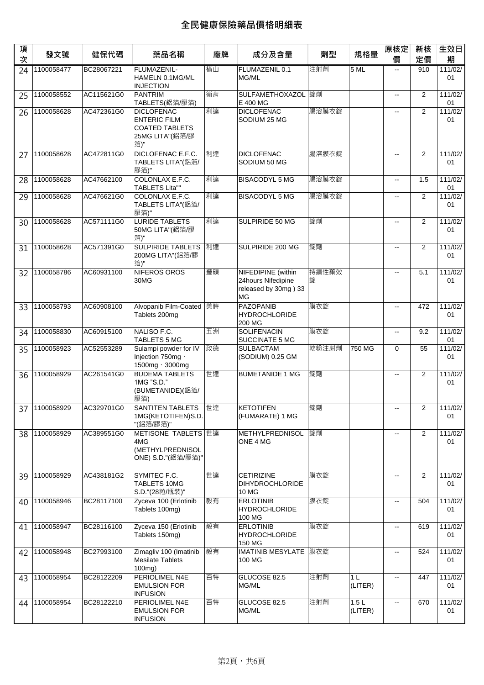| 項<br>次 | 發文號           | 健保代碼       | 藥品名稱                                                                                        | 廠牌 | 成分及含量                                                                         | 劑型         | 規格量             | 原核定<br>價                 | 新核<br>定價       | 生效日<br>期      |
|--------|---------------|------------|---------------------------------------------------------------------------------------------|----|-------------------------------------------------------------------------------|------------|-----------------|--------------------------|----------------|---------------|
| 24     | 1100058477    | BC28067221 | FLUMAZENIL-<br>HAMELN 0.1MG/ML<br><b>INJECTION</b>                                          | 橫山 | FLUMAZENIL 0.1<br>MG/ML                                                       | 注射劑        | 5 ML            | ш.                       | 910            | 111/02/<br>01 |
| 25     | 1100058552    | AC115621G0 | PANTRIM<br>TABLETS(鋁箔/膠箔)                                                                   | 衛肯 | SULFAMETHOXAZOL 錠劑<br>E 400 MG                                                |            |                 | ă.                       | $\overline{2}$ | 111/02/<br>01 |
| 26     | 1100058628    | AC472361G0 | <b>DICLOFENAC</b><br><b>ENTERIC FILM</b><br><b>COATED TABLETS</b><br>25MG LITA"(鋁箔/膠<br>箔)" | 利達 | <b>DICLOFENAC</b><br>SODIUM 25 MG                                             | 腸溶膜衣錠      |                 | $\overline{\phantom{a}}$ | 2              | 111/02/<br>01 |
| 27     | 1100058628    | AC472811G0 | DICLOFENAC E.F.C.<br>TABLETS LITA"(鋁箔/<br>膠箔)"                                              | 利達 | <b>DICLOFENAC</b><br>SODIUM 50 MG                                             | 腸溶膜衣錠      |                 | $\sim$                   | 2              | 111/02/<br>01 |
| 28     | 1100058628    | AC47662100 | COLONLAX E.F.C.<br><b>TABLETS Lita""</b>                                                    | 利達 | <b>BISACODYL 5 MG</b>                                                         | 腸溶膜衣錠      |                 | $\overline{\phantom{a}}$ | 1.5            | 111/02/<br>01 |
| 29     | 1100058628    | AC476621G0 | COLONLAX E.F.C.<br>TABLETS LITA"(鋁箔/<br>膠箔)"                                                | 利達 | <b>BISACODYL 5 MG</b>                                                         | 腸溶膜衣錠      |                 | $\overline{a}$           | 2              | 111/02/<br>01 |
| 30     | 1100058628    | AC571111G0 | <b>LURIDE TABLETS</b><br>50MG LITA"(鋁箔/膠<br>箔)"                                             | 利達 | SULPIRIDE 50 MG                                                               | 錠劑         |                 | $\overline{a}$           | 2              | 111/02/<br>01 |
| 31     | 1100058628    | AC571391G0 | <b>SULPIRIDE TABLETS</b><br>200MG LITA"(鋁箔/膠<br>箔)"                                         | 利達 | SULPIRIDE 200 MG                                                              | 錠劑         |                 | ш.                       | 2              | 111/02/<br>01 |
| 32     | 1100058786    | AC60931100 | NIFEROS OROS<br>30MG                                                                        | 瑩碩 | <b>NIFEDIPINE</b> (within<br>24hours Nifedipine<br>released by 30mg) 33<br>MG | 持續性藥效<br>錠 |                 | $\sim$                   | 5.1            | 111/02/<br>01 |
| 33     | 1100058793    | AC60908100 | Alvopanib Film-Coated 美時<br>Tablets 200mg                                                   |    | <b>PAZOPANIB</b><br><b>HYDROCHLORIDE</b><br>200 MG                            | 膜衣錠        |                 | $\sim$                   | 472            | 111/02/<br>01 |
| 34     | 1100058830    | AC60915100 | NALISO F.C.<br><b>TABLETS 5 MG</b>                                                          | 五洲 | <b>SOLIFENACIN</b><br>SUCCINATE 5 MG                                          | 膜衣錠        |                 | $\overline{\phantom{a}}$ | 9.2            | 111/02/<br>01 |
| 35     | 1100058923    | AC52553289 | Sulampi powder for IV<br>Injection 750mg ·<br>1500mg · 3000mg                               | 政德 | <b>SULBACTAM</b><br>(SODIUM) 0.25 GM                                          | 乾粉注射劑      | 750 MG          | $\mathbf 0$              | 55             | 111/02/<br>01 |
| 36     | 1100058929    | AC261541G0 | <b>BUDEMA TABLETS</b><br>1MG "S.D."<br>(BUMETANIDE)(鋁箔/<br>膠箔)                              | 世達 | <b>BUMETANIDE 1 MG</b>                                                        | 錠劑         |                 | $\overline{a}$           | 2              | 111/02/<br>01 |
|        | 37 1100058929 | AC329701G0 | <b>SANTITEN TABLETS</b> 世達<br>1MG(KETOTIFEN)S.D.<br>"(鋁箔/膠箔)"                               |    | <b>KETOTIFEN</b><br>(FUMARATE) 1 MG                                           | 錠劑         |                 | $\sim$ $-$               | $\overline{2}$ | 111/02/<br>01 |
| 38     | 1100058929    | AC389551G0 | METISONE TABLETS 世達<br>4MG<br>(METHYLPREDNISOL<br>ONE) S.D."(鋁箔/膠箔)"                        |    | <b>METHYLPREDNISOL</b><br>ONE 4 MG                                            | 錠劑         |                 | $\overline{\phantom{a}}$ | 2              | 111/02/<br>01 |
| 39     | 1100058929    | AC438181G2 | SYMITEC F.C.<br>TABLETS 10MG<br>S.D."(28粒/瓶装)"                                              | 世達 | <b>CETIRIZINE</b><br><b>DIHYDROCHLORIDE</b><br>10 MG                          | 膜衣錠        |                 | $\overline{\phantom{a}}$ | $\overline{2}$ | 111/02/<br>01 |
| 40     | 1100058946    | BC28117100 | Zyceva 100 (Erlotinib<br>Tablets 100mg)                                                     | 毅有 | <b>ERLOTINIB</b><br><b>HYDROCHLORIDE</b><br>100 MG                            | 膜衣錠        |                 | $\overline{\phantom{a}}$ | 504            | 111/02/<br>01 |
| 41     | 1100058947    | BC28116100 | Zyceva 150 (Erlotinib<br>Tablets 150mg)                                                     | 毅有 | <b>ERLOTINIB</b><br><b>HYDROCHLORIDE</b><br>150 MG                            | 膜衣錠        |                 |                          | 619            | 111/02/<br>01 |
| 42     | 1100058948    | BC27993100 | Zimagliv 100 (Imatinib<br><b>Mesilate Tablets</b><br>$100mg$ )                              | 毅有 | <b>IMATINIB MESYLATE</b> 膜衣錠<br>100 MG                                        |            |                 | ц.                       | 524            | 111/02/<br>01 |
| 43     | 1100058954    | BC28122209 | PERIOLIMEL N4E<br><b>EMULSION FOR</b><br><b>INFUSION</b>                                    | 百特 | GLUCOSE 82.5<br>MG/ML                                                         | 注射劑        | 1 L<br>(LITER)  | $\overline{\phantom{a}}$ | 447            | 111/02/<br>01 |
| 44     | 1100058954    | BC28122210 | PERIOLIMEL N4E<br><b>EMULSION FOR</b><br><b>INFUSION</b>                                    | 百特 | GLUCOSE 82.5<br>MG/ML                                                         | 注射劑        | 1.5L<br>(LITER) | $\overline{\phantom{a}}$ | 670            | 111/02/<br>01 |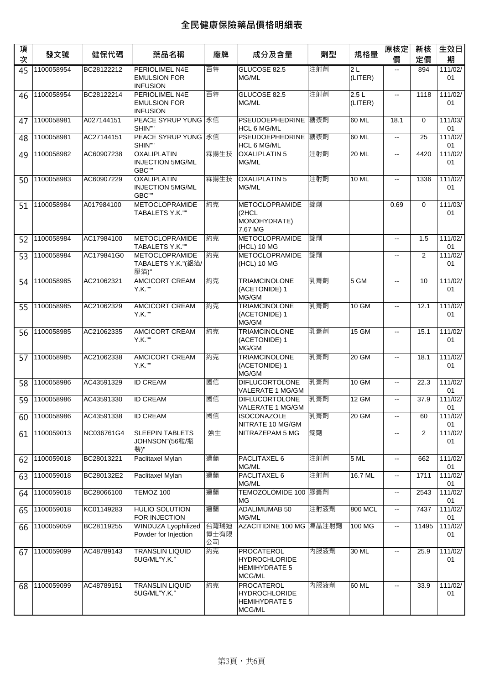| 項<br>次 | 發文號        | 健保代碼       | 藥品名稱                                                            | 廠牌                 | 成分及含量                                                                       | 劑型   | 規格量             | 原核定<br>價                  | 新核<br>定價       | 生效日<br>期      |
|--------|------------|------------|-----------------------------------------------------------------|--------------------|-----------------------------------------------------------------------------|------|-----------------|---------------------------|----------------|---------------|
| 45     | 1100058954 | BC28122212 | <b>PERIOLIMEL N4E</b><br><b>EMULSION FOR</b><br><b>INFUSION</b> | 百特                 | GLUCOSE 82.5<br>MG/ML                                                       | 注射劑  | 2L<br>(LITER)   | $\overline{\phantom{a}}$  | 894            | 111/02/<br>01 |
| 46     | 1100058954 | BC28122214 | PERIOLIMEL N4E<br><b>EMULSION FOR</b><br><b>INFUSION</b>        | 百特                 | GLUCOSE 82.5<br>MG/ML                                                       | 注射劑  | 2.5L<br>(LITER) | $\sim$                    | 1118           | 111/02/<br>01 |
| 47     | 1100058981 | A027144151 | PEACE SYRUP YUNG 永信<br>SHIN""                                   |                    | PSEUDOEPHEDRINE  糖漿劑<br>HCL 6 MG/ML                                         |      | 60 ML           | 18.1                      | $\Omega$       | 111/03/<br>01 |
| 48     | 1100058981 | AC27144151 | PEACE SYRUP YUNG 永信<br>SHIN""                                   |                    | PSEUDOEPHEDRINE  糖漿劑<br>HCL 6 MG/ML                                         |      | 60 ML           | $\overline{a}$            | 25             | 111/02/<br>01 |
| 49     | 1100058982 | AC60907238 | <b>OXALIPLATIN</b><br><b>INJECTION 5MG/ML</b><br>GBC""          | 霖揚生技               | <b>OXALIPLATIN 5</b><br>MG/ML                                               | 注射劑  | 20 ML           | $\omega_{\rm m}$          | 4420           | 111/02/<br>01 |
| 50     | 1100058983 | AC60907229 | <b>OXALIPLATIN</b><br><b>INJECTION 5MG/ML</b><br>GBC""          | 霖揚生技               | <b>OXALIPLATIN 5</b><br>MG/ML                                               | 注射劑  | <b>10 ML</b>    | $\overline{\phantom{a}}$  | 1336           | 111/02/<br>01 |
| 51     | 1100058984 | A017984100 | <b>METOCLOPRAMIDE</b><br>TABALETS Y.K.""                        | 約克                 | <b>METOCLOPRAMIDE</b><br>(2HCL)<br>MONOHYDRATE)<br>7.67 MG                  | 錠劑   |                 | 0.69                      | $\mathbf 0$    | 111/03/<br>01 |
| 52     | 1100058984 | AC17984100 | <b>METOCLOPRAMIDE</b><br>TABALETS Y.K.""                        | 約克                 | <b>METOCLOPRAMIDE</b><br>(HCL) 10 MG                                        | 錠劑   |                 | $\overline{a}$            | 1.5            | 111/02/<br>01 |
| 53     | 1100058984 | AC179841G0 | <b>METOCLOPRAMIDE</b><br>TABALETS Y.K."(鋁箔/<br>膠箔)"             | 約克                 | <b>METOCLOPRAMIDE</b><br>(HCL) 10 MG                                        | 錠劑   |                 | Ξ.                        | $\overline{2}$ | 111/02/<br>01 |
| 54     | 1100058985 | AC21062321 | AMCICORT CREAM<br>Y.K.""                                        | 約克                 | <b>TRIAMCINOLONE</b><br>(ACETONIDE) 1<br>MG/GM                              | 乳膏劑  | 5 GM            | $\overline{a}$            | 10             | 111/02/<br>01 |
| 55     | 1100058985 | AC21062329 | AMCICORT CREAM<br>Y.K.""                                        | 約克                 | <b>TRIAMCINOLONE</b><br>(ACETONIDE) 1<br>MG/GM                              | 乳膏劑  | <b>10 GM</b>    | $\overline{\phantom{a}}$  | 12.1           | 111/02/<br>01 |
| 56     | 1100058985 | AC21062335 | AMCICORT CREAM<br>Y.K.""                                        | 約克                 | <b>TRIAMCINOLONE</b><br>(ACETONIDE) 1<br>MG/GM                              | 乳膏劑  | <b>15 GM</b>    | $\overline{\phantom{a}}$  | 15.1           | 111/02/<br>01 |
| 57     | 1100058985 | AC21062338 | <b>AMCICORT CREAM</b><br>Y.K.""                                 | 約克                 | <b>TRIAMCINOLONE</b><br>(ACETONIDE) 1<br>MG/GM                              | 乳膏劑  | 20 GM           | $\overline{a}$            | 18.1           | 111/02/<br>01 |
| 58     | 1100058986 | AC43591329 | <b>ID CREAM</b>                                                 | 國信                 | <b>DIFLUCORTOLONE</b><br>VALERATE 1 MG/GM                                   | 乳膏劑  | 10 GM           | $\overline{\phantom{a}}$  | 22.3           | 111/02/<br>01 |
| 59     | 1100058986 | AC43591330 | <b>ID CREAM</b>                                                 | 國信                 | <b>DIFLUCORTOLONE</b><br>VALERATE 1 MG/GM                                   | 乳膏劑  | 12 GM           | Ξ.                        | 37.9           | 111/02/<br>01 |
| 60     | 1100058986 | AC43591338 | <b>ID CREAM</b>                                                 | 國信                 | <b>ISOCONAZOLE</b><br>NITRATE 10 MG/GM                                      | 乳膏劑  | 20 GM           | Ξ.                        | 60             | 111/02/<br>01 |
| 61     | 1100059013 | NC036761G4 | <b>SLEEPIN TABLETS</b><br>JOHNSON"(56粒/瓶<br>裝)"                 | 強生                 | NITRAZEPAM 5 MG                                                             | 錠劑   |                 | Ξ.                        | 2              | 111/02/<br>01 |
| 62     | 1100059018 | BC28013221 | Paclitaxel Mylan                                                | 邁蘭                 | PACLITAXEL 6<br>MG/ML                                                       | 注射劑  | 5ML             | 44                        | 662            | 111/02/<br>01 |
| 63     | 1100059018 | BC280132E2 | Paclitaxel Mylan                                                | 邁蘭                 | PACLITAXEL 6<br>MG/ML                                                       | 注射劑  | 16.7 ML         | $\mathbb{H}^{\mathbb{Z}}$ | 1711           | 111/02/<br>01 |
| 64     | 1100059018 | BC28066100 | TEMOZ 100                                                       | 邁蘭                 | TEMOZOLOMIDE 100 膠囊劑<br>MG                                                  |      |                 | 44                        | 2543           | 111/02/<br>01 |
| 65     | 1100059018 | KC01149283 | HULIO SOLUTION<br>FOR INJECTION                                 | 邁蘭                 | ADALIMUMAB 50<br>MG/ML                                                      | 注射液劑 | 800 MCL         | ш.                        | 7437           | 111/02/<br>01 |
| 66     | 1100059059 | BC28119255 | WINDUZA Lyophilized<br>Powder for Injection                     | 台灣瑞迪<br>博士有限<br>公司 | AZACITIDINE 100 MG 凍晶注射劑                                                    |      | 100 MG          | Ξ.                        | 11495          | 111/02/<br>01 |
| 67     | 1100059099 | AC48789143 | <b>TRANSLIN LIQUID</b><br>5UG/ML"Y.K."                          | 約克                 | <b>PROCATEROL</b><br><b>HYDROCHLORIDE</b><br><b>HEMIHYDRATE 5</b><br>MCG/ML | 内服液劑 | 30 ML           | $\mathbb{L}^2$            | 25.9           | 111/02/<br>01 |
| 68     | 1100059099 | AC48789151 | <b>TRANSLIN LIQUID</b><br>5UG/ML"Y.K."                          | 約克                 | <b>PROCATEROL</b><br><b>HYDROCHLORIDE</b><br><b>HEMIHYDRATE 5</b><br>MCG/ML | 內服液劑 | 60 ML           | $\overline{\phantom{a}}$  | 33.9           | 111/02/<br>01 |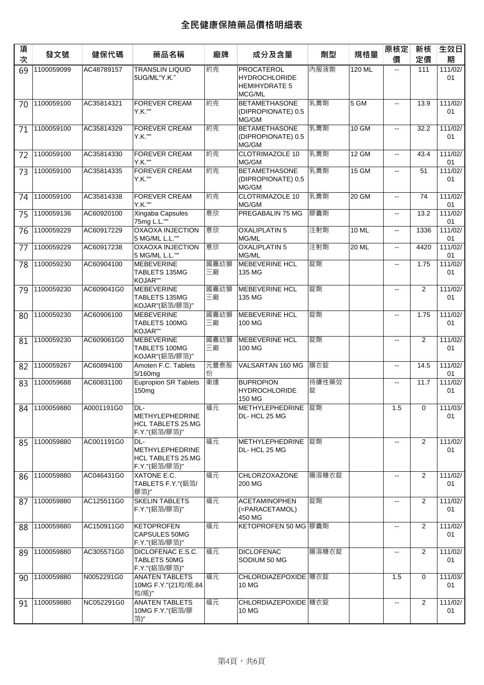| 項<br>次 | 發文號           | 健保代碼       | 藥品名稱                                                                       | 廠牌         | 成分及含量                                                                | 劑型         | 規格量    | 原核定<br>價                   | 新核<br>定價       | 生效日<br>期      |
|--------|---------------|------------|----------------------------------------------------------------------------|------------|----------------------------------------------------------------------|------------|--------|----------------------------|----------------|---------------|
| 69     | 1100059099    | AC48789157 | <b>TRANSLIN LIQUID</b><br>5UG/ML"Y.K."                                     | 約克         | PROCATEROL<br><b>HYDROCHLORIDE</b><br><b>HEMIHYDRATE 5</b><br>MCG/ML | 內服液劑       | 120 ML | $\overline{\phantom{a}}$   | 111            | 111/02/<br>01 |
| 70     | 1100059100    | AC35814321 | <b>FOREVER CREAM</b><br>Y.K.""                                             | 約克         | <b>BETAMETHASONE</b><br>(DIPROPIONATE) 0.5<br>MG/GM                  | 乳膏劑        | $5$ GM | $\overline{\phantom{a}}$   | 13.9           | 111/02/<br>01 |
| 71     | 1100059100    | AC35814329 | <b>FOREVER CREAM</b><br>Y.K.""                                             | 約克         | <b>BETAMETHASONE</b><br>(DIPROPIONATE) 0.5<br>MG/GM                  | 乳膏劑        | 10 GM  | ц.                         | 32.2           | 111/02/<br>01 |
| 72     | 1100059100    | AC35814330 | <b>FOREVER CREAM</b><br>Y.K.""                                             | 約克         | <b>CLOTRIMAZOLE 10</b><br>MG/GM                                      | 乳膏劑        | 12 GM  | н.                         | 43.4           | 111/02/<br>01 |
| 73     | 1100059100    | AC35814335 | <b>FOREVER CREAM</b><br>Y.K.""                                             | 約克         | <b>BETAMETHASONE</b><br>(DIPROPIONATE) 0.5<br>MG/GM                  | 乳膏劑        | 15 GM  | $\mathcal{L}(\mathcal{L})$ | 51             | 111/02/<br>01 |
| 74     | 1100059100    | AC35814338 | <b>FOREVER CREAM</b><br>Y.K.""                                             | 約克         | <b>CLOTRIMAZOLE 10</b><br>MG/GM                                      | 乳膏劑        | 20 GM  | ш.                         | 74             | 111/02/<br>01 |
| 75     | 1100059136    | AC60920100 | Xingaba Capsules<br>75mg L.L.""                                            | 意欣         | PREGABALIN 75 MG                                                     | 膠囊劑        |        | ц.                         | 13.2           | 111/02/<br>01 |
| 76     | 1100059229    | AC60917229 | <b>OXAOXA INJECTION</b><br>5 MG/ML L.L.""                                  | 意欣         | <b>OXALIPLATIN 5</b><br>MG/ML                                        | 注射劑        | 10 ML  | $\overline{\phantom{a}}$   | 1336           | 111/02/<br>01 |
| 77     | 1100059229    | AC60917238 | <b>OXAOXA INJECTION</b><br>5 MG/ML L.L.""                                  | 意欣         | <b>OXALIPLATIN 5</b><br>MG/ML                                        | 注射劑        | 20 ML  | L.                         | 4420           | 111/02/<br>01 |
| 78     | 1100059230    | AC60904100 | <b>MEBEVERINE</b><br>TABLETS 135MG<br>KOJAR""                              | 國嘉幼獅<br>三廠 | <b>MEBEVERINE HCL</b><br>135 MG                                      | 錠劑         |        | $\overline{\phantom{a}}$   | 1.75           | 111/02/<br>01 |
| 79     | 1100059230    | AC609041G0 | <b>MEBEVERINE</b><br>TABLETS 135MG<br>KOJAR"(鋁箔/膠箔)"                       | 國嘉幼獅<br>三廠 | <b>MEBEVERINE HCL</b><br>135 MG                                      | 錠劑         |        | $\overline{\phantom{a}}$   | $\overline{2}$ | 111/02/<br>01 |
| 80     | 1100059230    | AC60906100 | <b>MEBEVERINE</b><br>TABLETS 100MG<br>KOJAR""                              | 國嘉幼獅<br>三廠 | <b>MEBEVERINE HCL</b><br>100 MG                                      | 錠劑         |        | Ξ.                         | 1.75           | 111/02/<br>01 |
| 81     | 1100059230    | AC609061G0 | <b>MEBEVERINE</b><br>TABLETS 100MG<br>KOJAR"(鋁箔/膠箔)"                       | 國嘉幼獅<br>三廠 | <b>MEBEVERINE HCL</b><br>100 MG                                      | 錠劑         |        | $\overline{\phantom{a}}$   | $\overline{2}$ | 111/02/<br>01 |
| 82     | 1100059267    | AC60894100 | Amoten F.C. Tablets<br>5/160mg                                             | 元豐泰股<br>份  | VALSARTAN 160 MG                                                     | 膜衣錠        |        | $\overline{\phantom{a}}$   | 14.5           | 111/02/<br>01 |
| 83     | 1100059688    | AC60831100 | <b>Eupropion SR Tablets</b><br>150 <sub>mg</sub>                           | 衛達         | <b>BUPROPION</b><br><b>HYDROCHLORIDE</b><br>150 MG                   | 持續性藥效<br>錠 |        | Ξ.                         | 11.7           | 111/02/<br>01 |
|        | 84 1100059880 | A0001191G0 | DL-<br>METHYLEPHEDRINE<br><b>HCL TABLETS 25.MG</b><br>F.Y."(鋁箔/膠箔)"        | 福元         | METHYLEPHEDRINE 錠劑<br>DL-HCL 25 MG                                   |            |        | 1.5                        | $\Omega$       | 111/03/<br>01 |
| 85     | 1100059880    | AC001191G0 | DL-<br><b>METHYLEPHEDRINE</b><br><b>HCL TABLETS 25.MG</b><br>F.Y."(鋁箔/膠箔)" | 福元         | <b>METHYLEPHEDRINE</b><br>DL-HCL 25 MG                               | 錠劑         |        | Ξ.                         | $\overline{2}$ | 111/02/<br>01 |
| 86     | 1100059880    | AC046431G0 | XATONE E.C.<br>TABLETS F.Y."(鋁箔/<br>膠箔)"                                   | 福元         | CHLORZOXAZONE<br>200 MG                                              | 腸溶糖衣錠      |        | $\overline{\phantom{a}}$   | $\overline{2}$ | 111/02/<br>01 |
| 87     | 1100059880    | AC125511G0 | <b>SKELIN TABLETS</b><br>F.Y."(鋁箔/膠箔)"                                     | 福元         | <b>ACETAMINOPHEN</b><br>(=PARACETAMOL)<br>450 MG                     | 錠劑         |        | --                         | 2              | 111/02/<br>01 |
| 88     | 1100059880    | AC150911G0 | <b>KETOPROFEN</b><br><b>CAPSULES 50MG</b><br>F.Y."(鋁箔/膠箔)"                 | 福元         | KETOPROFEN 50 MG 膠囊劑                                                 |            |        | --                         | $\overline{2}$ | 111/02/<br>01 |
| 89     | 1100059880    | AC305571G0 | DICLOFENAC E.S.C.<br><b>TABLETS 50MG</b><br>F.Y."(鋁箔/膠箔)"                  | 福元         | <b>DICLOFENAC</b><br>SODIUM 50 MG                                    | 腸溶糖衣錠      |        | ц.                         | $\overline{2}$ | 111/02/<br>01 |
| 90     | 1100059880    | N0052291G0 | <b>ANATEN TABLETS</b><br>10MG F.Y."(21粒/瓶.84<br>粒/瓶)"                      | 福元         | CHLORDIAZEPOXIDE  糖衣錠<br>10 MG                                       |            |        | 1.5                        | 0              | 111/03/<br>01 |
| 91     | 1100059880    | NC052291G0 | <b>ANATEN TABLETS</b><br>10MG F.Y."(鋁箔/膠<br>箔)"                            | 福元         | CHLORDIAZEPOXIDE   糖衣錠<br>10 MG                                      |            |        | ц.                         | 2              | 111/02/<br>01 |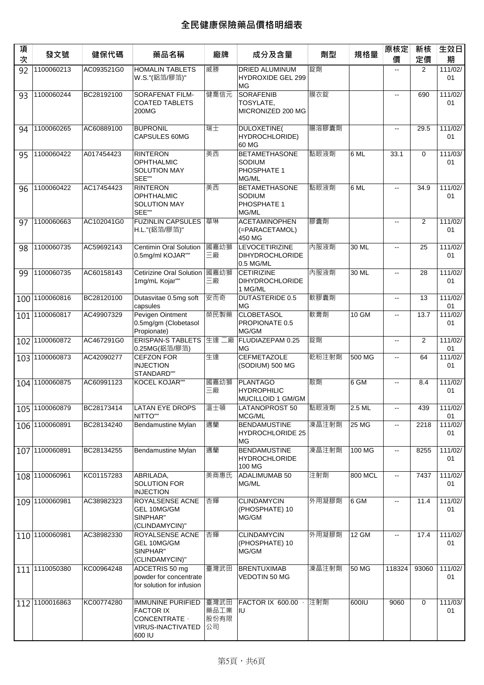| 項<br>次 | 發文號            | 健保代碼       | 藥品名稱                                                                                         | 廠牌                         | 成分及含量                                                        | 劑型    | 規格量     | 原核定<br>價                 | 新核<br>定價    | 生效日<br>期      |
|--------|----------------|------------|----------------------------------------------------------------------------------------------|----------------------------|--------------------------------------------------------------|-------|---------|--------------------------|-------------|---------------|
| 92     | 1100060213     | AC093521G0 | <b>HOMALIN TABLETS</b><br>W.S."(鋁箔/膠箔)"                                                      | 威勝                         | <b>DRIED ALUMINUM</b><br>HYDROXIDE GEL 299<br><b>MG</b>      | 錠劑    |         | $\overline{\phantom{a}}$ | 2           | 111/02/<br>01 |
| 93     | 1100060244     | BC28192100 | SORAFENAT FILM-<br><b>COATED TABLETS</b><br>200MG                                            | 健喬信元                       | <b>SORAFENIB</b><br>TOSYLATE,<br>MICRONIZED 200 MG           | 膜衣錠   |         | $\sim$                   | 690         | 111/02/<br>01 |
| 94     | 1100060265     | AC60889100 | <b>BUPRONIL</b><br>CAPSULES 60MG                                                             | 瑞士                         | DULOXETINE(<br>HYDROCHLORIDE)<br>60 MG                       | 腸溶膠囊劑 |         | $\overline{\phantom{a}}$ | 29.5        | 111/02/<br>01 |
| 95     | 1100060422     | A017454423 | <b>RINTERON</b><br><b>OPHTHALMIC</b><br><b>SOLUTION MAY</b><br>SEE""                         | 美西                         | <b>BETAMETHASONE</b><br>SODIUM<br>PHOSPHATE 1<br>MG/ML       | 點眼液劑  | 6 ML    | 33.1                     | $\mathbf 0$ | 111/03/<br>01 |
| 96     | 1100060422     | AC17454423 | <b>RINTERON</b><br><b>OPHTHALMIC</b><br><b>SOLUTION MAY</b><br>SEE""                         | 美西                         | <b>BETAMETHASONE</b><br>SODIUM<br>PHOSPHATE 1<br>MG/ML       | 點眼液劑  | 6 ML    | $\omega_{\rm m}$         | 34.9        | 111/02/<br>01 |
| 97     | 1100060663     | AC102041G0 | <b>FUZINLIN CAPSULES</b><br>H.L."(鋁箔/膠箔)"                                                    | 華琳                         | <b>ACETAMINOPHEN</b><br>(=PARACETAMOL)<br>450 MG             | 膠囊劑   |         | ц.                       | 2           | 111/02/<br>01 |
| 98     | 1100060735     | AC59692143 | Centimin Oral Solution<br>0.5mg/ml KOJAR""                                                   | 國嘉幼獅<br>三廠                 | <b>LEVOCETIRIZINE</b><br><b>DIHYDROCHLORIDE</b><br>0.5 MG/ML | 内服液劑  | 30 ML   | $\overline{\phantom{a}}$ | 25          | 111/02/<br>01 |
| 99     | 1100060735     | AC60158143 | Cetirizine Oral Solution<br>1mg/mL Kojar""                                                   | 國嘉幼獅<br>三廠                 | <b>CETIRIZINE</b><br><b>DIHYDROCHLORIDE</b><br>1 MG/ML       | 內服液劑  | 30 ML   | $\overline{a}$           | 28          | 111/02/<br>01 |
| 100    | 1100060816     | BC28120100 | Dutasvitae 0.5mg soft<br>capsules                                                            | 安而奇                        | <b>DUTASTERIDE 0.5</b><br><b>MG</b>                          | 軟膠囊劑  |         | $\overline{\phantom{a}}$ | 13          | 111/02/<br>01 |
| 101    | 1100060817     | AC49907329 | Pevigen Ointment<br>0.5mg/gm (Clobetasol<br>Propionate)                                      | 榮民製藥                       | <b>CLOBETASOL</b><br>PROPIONATE 0.5<br>MG/GM                 | 軟膏劑   | $10$ GM | ш.                       | 13.7        | 111/02/<br>01 |
| 102    | 1100060872     | AC467291G0 | <b>ERISPAN-S TABLETS</b><br>0.25MG(鋁箔/膠箔)                                                    | 生達二廠                       | FLUDIAZEPAM 0.25<br><b>MG</b>                                | 錠劑    |         | $\overline{a}$           | 2           | 111/02/<br>01 |
| 103    | 1100060873     | AC42090277 | <b>CEFZON FOR</b><br><b>INJECTION</b><br>STANDARD""                                          | 生達                         | <b>CEFMETAZOLE</b><br>(SODIUM) 500 MG                        | 乾粉注射劑 | 500 MG  | $\overline{\phantom{a}}$ | 64          | 111/02/<br>01 |
| 104    | 1100060875     | AC60991123 | KOCEL KOJAR""                                                                                | 國嘉幼獅<br>三廠                 | PLANTAGO<br><b>HYDROPHILIC</b><br>MUCILLOID 1 GM/GM          | 散劑    | 6 GM    | $\overline{a}$           | 8.4         | 111/02/<br>01 |
|        | 105 1100060879 | BC28173414 | LATAN EYE DROPS<br><b>NITTO""</b>                                                            | 溫士頓                        | LATANOPROST 50<br>MCG/ML                                     | 點眼液劑  | 2.5 ML  |                          | 439         | 111/02/<br>01 |
|        | 106 1100060891 | BC28134240 | Bendamustine Mylan                                                                           | 邁蘭                         | <b>BENDAMUSTINE</b><br><b>HYDROCHLORIDE 25</b><br>MG         | 凍晶注射劑 | 25 MG   | $\overline{\phantom{a}}$ | 2218        | 111/02/<br>01 |
|        | 107 1100060891 | BC28134255 | Bendamustine Mylan                                                                           | 邁蘭                         | <b>BENDAMUSTINE</b><br><b>HYDROCHLORIDE</b><br>100 MG        | 凍晶注射劑 | 100 MG  | $\overline{\phantom{a}}$ | 8255        | 111/02/<br>01 |
|        | 108 1100060961 | KC01157283 | ABRILADA.<br><b>SOLUTION FOR</b><br><b>INJECTION</b>                                         | 美商惠氏                       | <b>ADALIMUMAB 50</b><br>MG/ML                                | 注射劑   | 800 MCL | 44                       | 7437        | 111/02/<br>01 |
|        | 109 100060981  | AC38982323 | ROYALSENSE ACNE<br>GEL 10MG/GM<br>SINPHAR"<br>(CLINDAMYCIN)"                                 | 杏輝                         | <b>CLINDAMYCIN</b><br>(PHOSPHATE) 10<br>MG/GM                | 外用凝膠劑 | 6 GM    | $\overline{\phantom{a}}$ | 11.4        | 111/02/<br>01 |
|        | 110 1100060981 | AC38982330 | ROYALSENSE ACNE<br>GEL 10MG/GM<br>SINPHAR"<br>(CLINDAMYCIN)"                                 | 杏輝                         | <b>CLINDAMYCIN</b><br>(PHOSPHATE) 10<br>MG/GM                | 外用凝膠劑 | 12 GM   | Ξ.                       | 17.4        | 111/02/<br>01 |
|        | 111 110050380  | KC00964248 | ADCETRIS 50 mg<br>powder for concentrate<br>for solution for infusion                        | 臺灣武田                       | <b>BRENTUXIMAB</b><br>VEDOTIN 50 MG                          | 凍晶注射劑 | 50 MG   | 118324                   | 93060       | 111/02/<br>01 |
|        | 112 1100016863 | KC00774280 | <b>IMMUNINE PURIFIED</b><br><b>FACTOR IX</b><br>CONCENTRATE ·<br>VIRUS-INACTIVATED<br>600 IU | 臺灣武田<br>藥品工業<br>股份有限<br>公司 | <b>FACTOR IX 600.00</b><br><b>IIU</b>                        | 注射劑   | 600IU   | 9060                     | $\mathbf 0$ | 111/03/<br>01 |